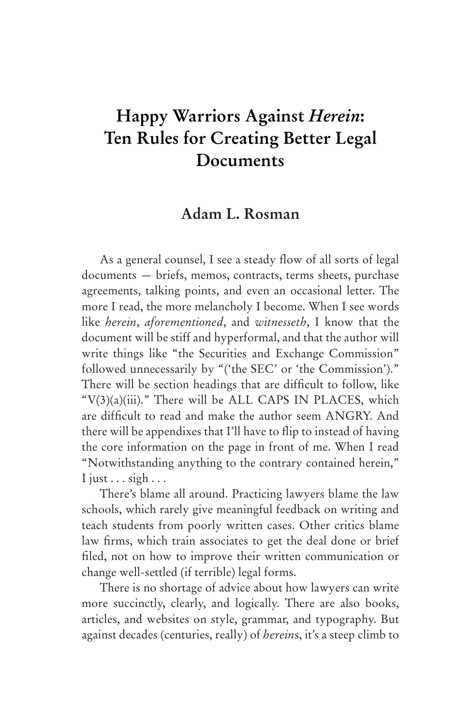# **Happy Warriors Against** *Herein***: Ten Rules for Creating Better Legal Documents**

# **Adam L. Rosman**

As a general counsel, I see a steady flow of all sorts of legal documents — briefs, memos, contracts, terms sheets, purchase agreements, talking points, and even an occasional letter. The more I read, the more melancholy I become. When I see words like *herein*, *aforementioned*, and *witnesseth*, I know that the document will be stiff and hyperformal, and that the author will write things like "the Securities and Exchange Commission" followed unnecessarily by "('the SEC' or 'the Commission')." There will be section headings that are difficult to follow, like " $V(3)(a)(iii)$ ." There will be ALL CAPS IN PLACES, which are difficult to read and make the author seem ANGRY. And there will be appendixes that I'll have to flip to instead of having the core information on the page in front of me. When I read "Notwithstanding anything to the contrary contained herein," I just  $\ldots$  sigh  $\ldots$ 

There's blame all around. Practicing lawyers blame the law schools, which rarely give meaningful feedback on writing and teach students from poorly written cases. Other critics blame law firms, which train associates to get the deal done or brief filed, not on how to improve their written communication or change well-settled (if terrible) legal forms.

There is no shortage of advice about how lawyers can write more succinctly, clearly, and logically. There are also books, articles, and websites on style, grammar, and typography. But against decades (centuries, really) of *herein*s, it's a steep climb to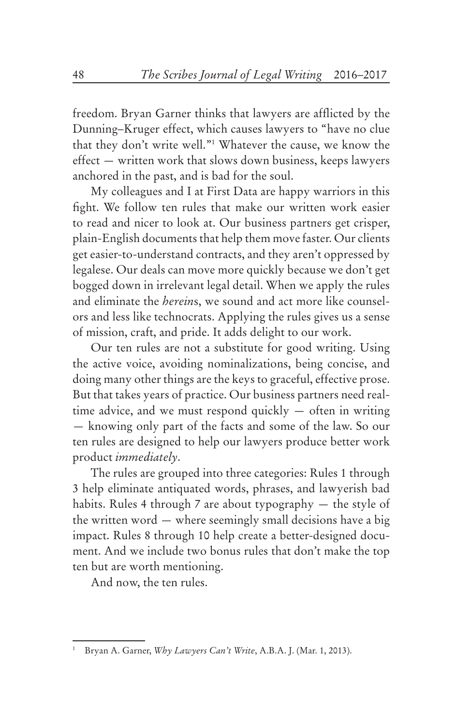freedom. Bryan Garner thinks that lawyers are afflicted by the Dunning–Kruger effect, which causes lawyers to "have no clue that they don't write well."1 Whatever the cause, we know the effect — written work that slows down business, keeps lawyers anchored in the past, and is bad for the soul.

My colleagues and I at First Data are happy warriors in this fight. We follow ten rules that make our written work easier to read and nicer to look at. Our business partners get crisper, plain-English documents that help them move faster. Our clients get easier-to-understand contracts, and they aren't oppressed by legalese. Our deals can move more quickly because we don't get bogged down in irrelevant legal detail. When we apply the rules and eliminate the *herein*s, we sound and act more like counselors and less like technocrats. Applying the rules gives us a sense of mission, craft, and pride. It adds delight to our work.

Our ten rules are not a substitute for good writing. Using the active voice, avoiding nominalizations, being concise, and doing many other things are the keys to graceful, effective prose. But that takes years of practice. Our business partners need realtime advice, and we must respond quickly — often in writing — knowing only part of the facts and some of the law. So our ten rules are designed to help our lawyers produce better work product *immediately*.

The rules are grouped into three categories: Rules 1 through 3 help eliminate antiquated words, phrases, and lawyerish bad habits. Rules 4 through 7 are about typography — the style of the written word — where seemingly small decisions have a big impact. Rules 8 through 10 help create a better-designed document. And we include two bonus rules that don't make the top ten but are worth mentioning.

And now, the ten rules.

<sup>1</sup> Bryan A. Garner, *Why Lawyers Can't Write*, A.B.A. J. (Mar. 1, 2013).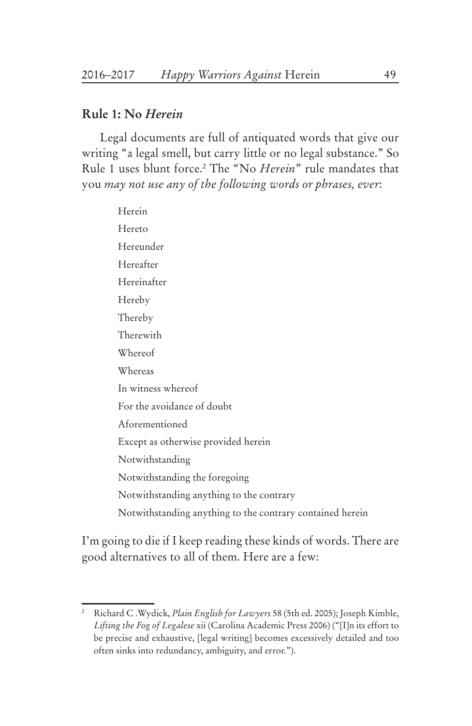#### **Rule 1: No** *Herein*

Legal documents are full of antiquated words that give our writing "a legal smell, but carry little or no legal substance." So Rule 1 uses blunt force.2 The "No *Herein*" rule mandates that you *may not use any of the following words or phrases, ever*:

Herein Hereto Hereunder Hereafter Hereinafter Hereby Thereby Therewith Whereof Whereas In witness whereof For the avoidance of doubt Aforementioned Except as otherwise provided herein Notwithstanding Notwithstanding the foregoing Notwithstanding anything to the contrary Notwithstanding anything to the contrary contained herein

I'm going to die if I keep reading these kinds of words. There are good alternatives to all of them. Here are a few:

<sup>2</sup> Richard C .Wydick, *Plain English for Lawyers* 58 (5th ed. 2005); Joseph Kimble, *Lifting the Fog of Legalese* xii (Carolina Academic Press 2006) ("[I]n its effort to be precise and exhaustive, [legal writing] becomes excessively detailed and too often sinks into redundancy, ambiguity, and error.").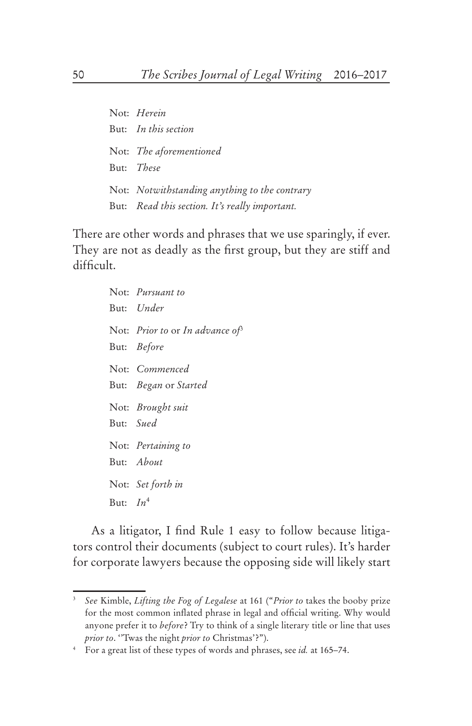Not: *Herein* But: *In this section* Not: *The aforementioned* But: *These* Not: *Notwithstanding anything to the contrary* But: *Read this section. It's really important.*

There are other words and phrases that we use sparingly, if ever. They are not as deadly as the first group, but they are stiff and difficult.

> Not: *Pursuant to* But: *Under* Not: *Prior to* or *In advance of*<sup>3</sup> But: *Before* Not: *Commenced* But: *Began* or *Started* Not: *Brought suit* But: *Sued* Not: *Pertaining to* But: *About* Not: *Set forth in* But: *In*<sup>4</sup>

As a litigator, I find Rule 1 easy to follow because litigators control their documents (subject to court rules). It's harder for corporate lawyers because the opposing side will likely start

<sup>3</sup> *See* Kimble, *Lifting the Fog of Legalese* at 161 ("*Prior to* takes the booby prize for the most common inflated phrase in legal and official writing. Why would anyone prefer it to *before*? Try to think of a single literary title or line that uses *prior to*. ''Twas the night *prior to* Christmas'?").

<sup>4</sup> For a great list of these types of words and phrases, see *id.* at 165–74.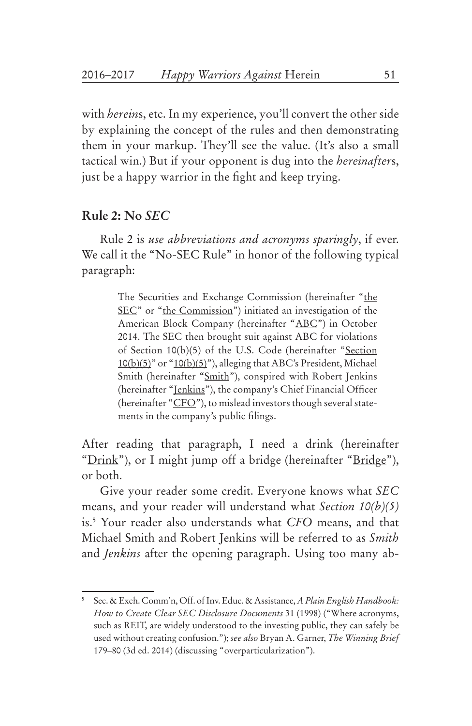with *herein*s, etc. In my experience, you'll convert the other side by explaining the concept of the rules and then demonstrating them in your markup. They'll see the value. (It's also a small tactical win.) But if your opponent is dug into the *hereinafter*s, just be a happy warrior in the fight and keep trying.

#### **Rule 2: No** *SEC*

Rule 2 is *use abbreviations and acronyms sparingly*, if ever. We call it the "No-SEC Rule" in honor of the following typical paragraph:

> The Securities and Exchange Commission (hereinafter "the SEC" or "the Commission") initiated an investigation of the American Block Company (hereinafter "ABC") in October 2014. The SEC then brought suit against ABC for violations of Section 10(b)(5) of the U.S. Code (hereinafter "Section 10(b)(5)" or "10(b)(5)"), alleging that ABC's President, Michael Smith (hereinafter "Smith"), conspired with Robert Jenkins (hereinafter "<u>Jenkins</u>"), the company's Chief Financial Officer (hereinafter " $CFO$ "), to mislead investors though several statements in the company's public filings.

After reading that paragraph, I need a drink (hereinafter "Drink"), or I might jump off a bridge (hereinafter "Bridge"), or both.

Give your reader some credit. Everyone knows what *SEC* means, and your reader will understand what *Section 10(b)(5)*  is.5 Your reader also understands what *CFO* means, and that Michael Smith and Robert Jenkins will be referred to as *Smith* and *Jenkins* after the opening paragraph. Using too many ab-

<sup>5</sup> Sec. & Exch. Comm'n, Off. of Inv. Educ. & Assistance, *A Plain English Handbook: How to Create Clear SEC Disclosure Documents* 31 (1998) ("Where acronyms, such as REIT, are widely understood to the investing public, they can safely be used without creating confusion."); *see also* Bryan A. Garner, *The Winning Brief*  179–80 (3d ed. 2014) (discussing "overparticularization").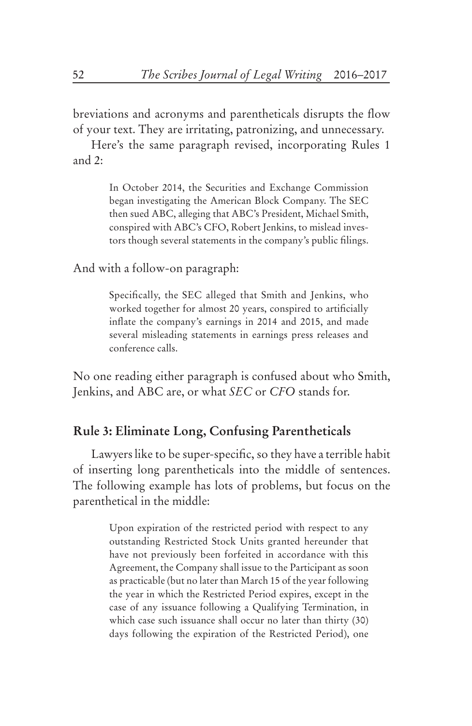breviations and acronyms and parentheticals disrupts the flow of your text. They are irritating, patronizing, and unnecessary.

Here's the same paragraph revised, incorporating Rules 1 and 2:

> In October 2014, the Securities and Exchange Commission began investigating the American Block Company. The SEC then sued ABC, alleging that ABC's President, Michael Smith, conspired with ABC's CFO, Robert Jenkins, to mislead investors though several statements in the company's public filings.

And with a follow-on paragraph:

Specifically, the SEC alleged that Smith and Jenkins, who worked together for almost 20 years, conspired to artificially inflate the company's earnings in 2014 and 2015, and made several misleading statements in earnings press releases and conference calls.

No one reading either paragraph is confused about who Smith, Jenkins, and ABC are, or what *SEC* or *CFO* stands for.

#### **Rule 3: Eliminate Long, Confusing Parentheticals**

Lawyers like to be super-specific, so they have a terrible habit of inserting long parentheticals into the middle of sentences. The following example has lots of problems, but focus on the parenthetical in the middle:

> Upon expiration of the restricted period with respect to any outstanding Restricted Stock Units granted hereunder that have not previously been forfeited in accordance with this Agreement, the Company shall issue to the Participant as soon as practicable (but no later than March 15 of the year following the year in which the Restricted Period expires, except in the case of any issuance following a Qualifying Termination, in which case such issuance shall occur no later than thirty (30) days following the expiration of the Restricted Period), one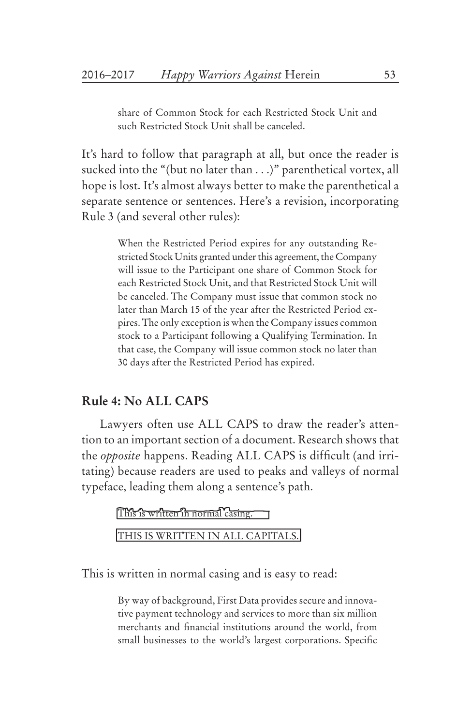share of Common Stock for each Restricted Stock Unit and such Restricted Stock Unit shall be canceled.

It's hard to follow that paragraph at all, but once the reader is sucked into the "(but no later than . . .)" parenthetical vortex, all hope is lost. It's almost always better to make the parenthetical a separate sentence or sentences. Here's a revision, incorporating Rule 3 (and several other rules):

> When the Restricted Period expires for any outstanding Restricted Stock Units granted under this agreement, the Company will issue to the Participant one share of Common Stock for each Restricted Stock Unit, and that Restricted Stock Unit will be canceled. The Company must issue that common stock no later than March 15 of the year after the Restricted Period expires. The only exception is when the Company issues common stock to a Participant following a Qualifying Termination. In that case, the Company will issue common stock no later than 30 days after the Restricted Period has expired.

#### **Rule 4: No ALL CAPS**

Lawyers often use ALL CAPS to draw the reader's attention to an important section of a document. Research shows that the *opposite* happens. Reading ALL CAPS is difficult (and irritating) because readers are used to peaks and valleys of normal typeface, leading them along a sentence's path.

> This is written in normal casing. THIS IS WRITTEN IN ALL CAPITALS.

This is written in normal casing and is easy to read:

By way of background, First Data provides secure and innovative payment technology and services to more than six million merchants and financial institutions around the world, from small businesses to the world's largest corporations. Specific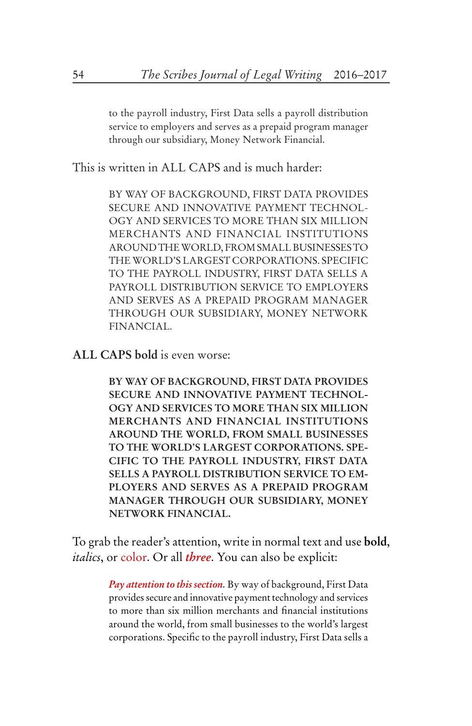to the payroll industry, First Data sells a payroll distribution service to employers and serves as a prepaid program manager through our subsidiary, Money Network Financial.

This is written in ALL CAPS and is much harder:

BY WAY OF BACKGROUND, FIRST DATA PROVIDES SECURE AND INNOVATIVE PAYMENT TECHNOL-OGY AND SERVICES TO MORE THAN SIX MILLION MERCHANTS AND FINANCIAL INSTITUTIONS AROUND THE WORLD, FROM SMALL BUSINESSES TO THE WORLD'S LARGEST CORPORATIONS. SPECIFIC TO THE PAYROLL INDUSTRY, FIRST DATA SELLS A PAYROLL DISTRIBUTION SERVICE TO EMPLOYERS AND SERVES AS A PREPAID PROGRAM MANAGER THROUGH OUR SUBSIDIARY, MONEY NETWORK FINANCIAL.

**ALL CAPS bold** is even worse:

**BY WAY OF BACKGROUND, FIRST DATA PROVIDES SECURE AND INNOVATIVE PAYMENT TECHNOL-OGY AND SERVICES TO MORE THAN SIX MILLION MERCHANTS AND FINANCIAL INSTITUTIONS AROUND THE WORLD, FROM SMALL BUSINESSES TO THE WORLD'S LARGEST CORPORATIONS. SPE-CIFIC TO THE PAYROLL INDUSTRY, FIRST DATA SELLS A PAYROLL DISTRIBUTION SERVICE TO EM-PLOYERS AND SERVES AS A PREPAID PROGRAM MANAGER THROUGH OUR SUBSIDIARY, MONEY NETWORK FINANCIAL.** 

To grab the reader's attention, write in normal text and use **bold**, *italics*, or color. Or all *three*. You can also be explicit:

> *Pay attention to this section.* By way of background, First Data provides secure and innovative payment technology and services to more than six million merchants and financial institutions around the world, from small businesses to the world's largest corporations. Specific to the payroll industry, First Data sells a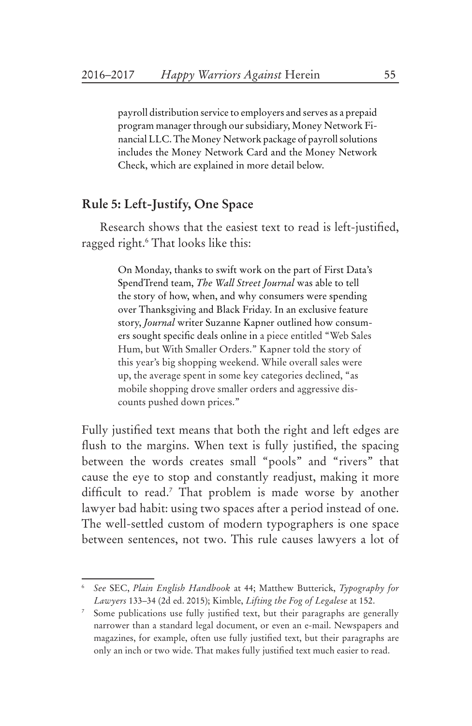payroll distribution service to employers and serves as a prepaid program manager through our subsidiary, Money Network Financial LLC. The Money Network package of payroll solutions includes the Money Network Card and the Money Network Check, which are explained in more detail below.

# **Rule 5: Left-Justify, One Space**

Research shows that the easiest text to read is left-justified, ragged right.6 That looks like this:

> On Monday, thanks to swift work on the part of First Data's SpendTrend team, *The Wall Street Journal* was able to tell the story of how, when, and why consumers were spending over Thanksgiving and Black Friday. In an exclusive feature story, *Journal* writer Suzanne Kapner outlined how consumers sought specific deals online in a piece entitled "Web Sales Hum, but With Smaller Orders." Kapner told the story of this year's big shopping weekend. While overall sales were up, the average spent in some key categories declined, "as mobile shopping drove smaller orders and aggressive discounts pushed down prices."

Fully justified text means that both the right and left edges are flush to the margins. When text is fully justified, the spacing between the words creates small "pools" and "rivers" that cause the eye to stop and constantly readjust, making it more difficult to read.7 That problem is made worse by another lawyer bad habit: using two spaces after a period instead of one. The well-settled custom of modern typographers is one space between sentences, not two. This rule causes lawyers a lot of

<sup>6</sup> *See* SEC, *Plain English Handbook* at 44; Matthew Butterick, *Typography for Lawyers* 133–34 (2d ed. 2015); Kimble, *Lifting the Fog of Legalese* at 152.

Some publications use fully justified text, but their paragraphs are generally narrower than a standard legal document, or even an e-mail. Newspapers and magazines, for example, often use fully justified text, but their paragraphs are only an inch or two wide. That makes fully justified text much easier to read.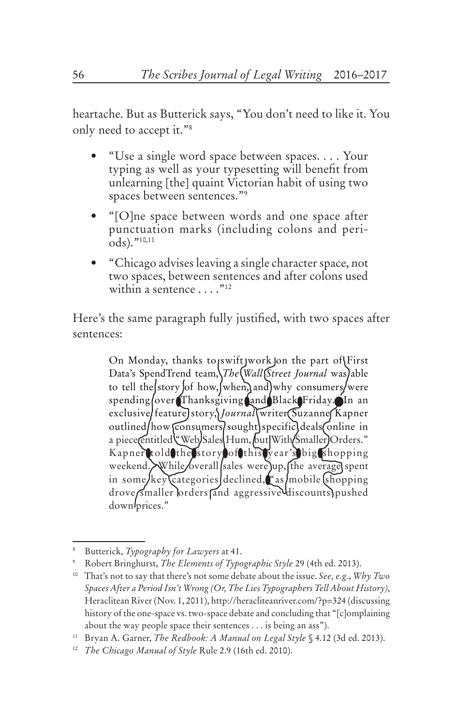heartache. But as Butterick says, "You don't need to like it. You only need to accept it."8

- • "Use a single word space between spaces. . . . Your typing as well as your typesetting will benefit from unlearning [the] quaint Victorian habit of using two spaces between sentences."9
- • "[O]ne space between words and one space after punctuation marks (including colons and periods)."10,11
- • "Chicago advises leaving a single character space, not two spaces, between sentences and after colons used within a sentence  $\ldots$ ."<sup>12</sup>

Here's the same paragraph fully justified, with two spaces after sentences:

> On Monday, thanks to swift work on the part of  $\{First\}$ Data's SpendTrend team, *The* (Wall (Street Journal was) able to tell the story of how, when, and why consumers/were spending over Thanksgiving and Black Friday. In an exclusive/featureJstory, Journal writer (Suzanne Kapner outlined/how consumers/sought) specific deals (online in a piece (entitled Web Sales Hum, but With Smaller) Orders." Kapner told the story of this year's big shopping weekend. While overall sales were up, the average spent in some/key Categories declined, as/mobile (shopping drove smaller lorders and aggressive discounts pushed down prices."

<sup>8</sup> Butterick, *Typography for Lawyers* at 41.

<sup>9</sup> Robert Bringhurst, *The Elements of Typographic Style* 29 (4th ed. 2013).

<sup>10</sup> That's not to say that there's not some debate about the issue. *See, e.g.*, *Why Two Spaces After a Period Isn't Wrong (Or, The Lies Typographers Tell About History)*, Heraclitean River (Nov. 1, 2011), http://heracliteanriver.com/?p=324 (discussing history of the one-space vs. two-space debate and concluding that "[c]omplaining about the way people space their sentences . . . is being an ass").

<sup>11</sup> Bryan A. Garner, *The Redbook: A Manual on Legal Style* § 4.12 (3d ed. 2013).

<sup>12</sup> *The Chicago Manual of Style* Rule 2.9 (16th ed. 2010).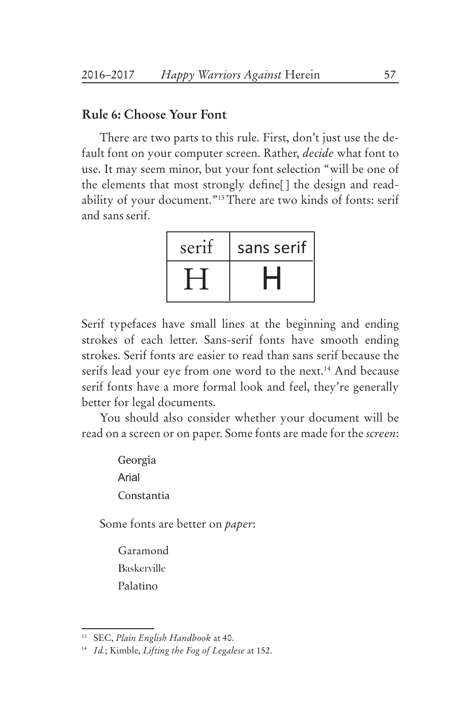#### **Rule 6: Choose Your Font**

There are two parts to this rule. First, don't just use the default font on your computer screen. Rather, *decide* what font to use. It may seem minor, but your font selection "will be one of the elements that most strongly define[] the design and readability of your document."13There are two kinds of fonts: serif and sansserif.



Serif typefaces have small lines at the beginning and ending strokes of each letter. Sans-serif fonts have smooth ending strokes. Serif fonts are easier to read than sans serif because the serifs lead your eye from one word to the next.<sup>14</sup> And because serif fonts have a more formal look and feel, they're generally better for legal documents.

You should also consider whether your document will be read on a screen or on paper. Some fonts are made for the *screen*:

> Georgia Arial Constantia

Some fonts are better on *paper*:

Garamond Baskerville Palatino

<sup>13</sup> SEC, *Plain English Handbook* at 40.

<sup>14</sup> *Id.*; Kimble, *Lifting the Fog of Legalese* at 152.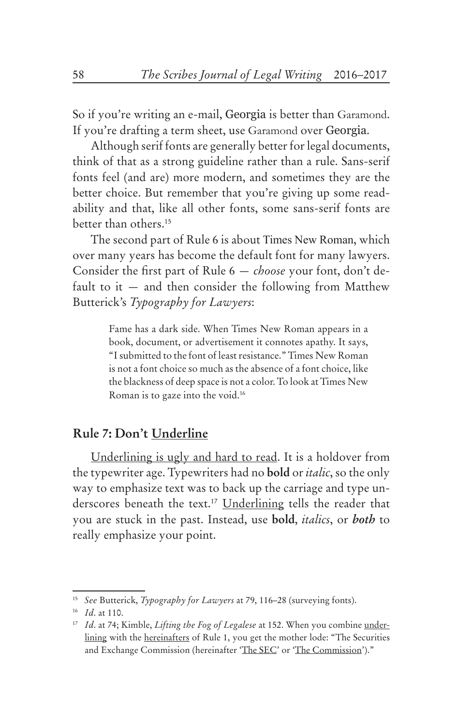So if you're writing an e-mail, Georgia is better than Garamond. If you're drafting a term sheet, use Garamond over Georgia.

Although serif fonts are generally better for legal documents, think of that as a strong guideline rather than a rule. Sans-serif fonts feel (and are) more modern, and sometimes they are the better choice. But remember that you're giving up some readability and that, like all other fonts, some sans-serif fonts are better than others.15

The second part of Rule 6 is about Times New Roman, which over many years has become the default font for many lawyers. Consider the first part of Rule 6 — *choose* your font, don't default to it  $-$  and then consider the following from Matthew Butterick's *Typography for Lawyers*:

> Fame has a dark side. When Times New Roman appears in a book, document, or advertisement it connotes apathy. It says, "I submitted to the font of least resistance." Times New Roman is not a font choice so much as the absence of a font choice, like the blackness of deep space is not a color. To look at Times New Roman is to gaze into the void.16

### **Rule 7: Don't Underline**

Underlining is ugly and hard to read. It is a holdover from the typewriter age. Typewriters had no **bold** or *italic*, so the only way to emphasize text was to back up the carriage and type underscores beneath the text.<sup>17</sup> Underlining tells the reader that you are stuck in the past. Instead, use **bold**, *italics*, or *both* to really emphasize your point.

<sup>15</sup> *See* Butterick, *Typography for Lawyers* at 79, 116–28 (surveying fonts).

<sup>16</sup> *Id*. at 110.

<sup>17</sup> *Id*. at 74; Kimble, *Lifting the Fog of Legalese* at 152. When you combine underlining with the hereinafters of Rule 1, you get the mother lode: "The Securities and Exchange Commission (hereinafter 'The SEC' or 'The Commission')."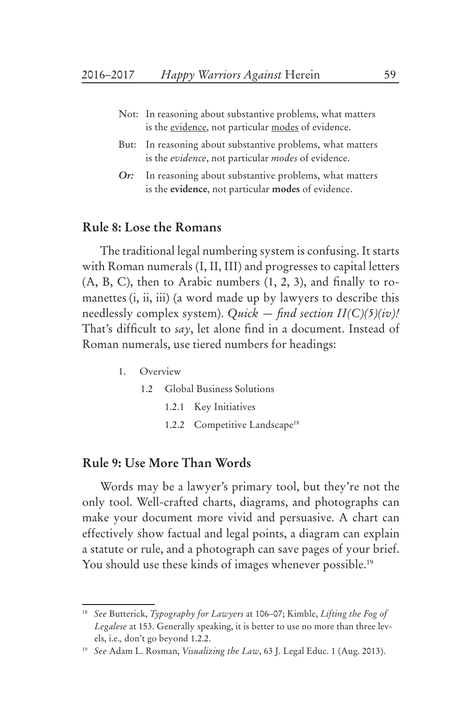- Not: In reasoning about substantive problems, what matters is the evidence, not particular modes of evidence.
- But: In reasoning about substantive problems, what matters is the *evidence*, not particular *modes* of evidence.
- *Or:* In reasoning about substantive problems, what matters is the **evidence**, not particular **modes** of evidence.

#### **Rule 8: Lose the Romans**

The traditional legal numbering system is confusing. It starts with Roman numerals (I, II, III) and progresses to capital letters (A, B, C), then to Arabic numbers (1, 2, 3), and finally to romanettes (*i*, *ii*, *iii*) (a word made up by lawyers to describe this needlessly complex system). *Quick — find section II(C)(5)(iv)!* That's difficult to *say*, let alone find in a document. Instead of Roman numerals, use tiered numbers for headings:

- 1. Overview
	- 1.2 Global Business Solutions
		- 1.2.1 Key Initiatives
		- 1.2.2 Competitive Landscape<sup>18</sup>

#### **Rule 9: Use More Than Words**

Words may be a lawyer's primary tool, but they're not the only tool. Well-crafted charts, diagrams, and photographs can make your document more vivid and persuasive. A chart can effectively show factual and legal points, a diagram can explain a statute or rule, and a photograph can save pages of your brief. You should use these kinds of images whenever possible.<sup>19</sup>

<sup>18</sup> *See* Butterick, *Typography for Lawyers* at 106–07; Kimble, *Lifting the Fog of Legalese* at 153. Generally speaking, it is better to use no more than three levels, i.e.*,* don't go beyond 1.2.2.

<sup>19</sup> *See* Adam L. Rosman, *Visualizing the Law*, 63 J. Legal Educ. 1 (Aug. 2013).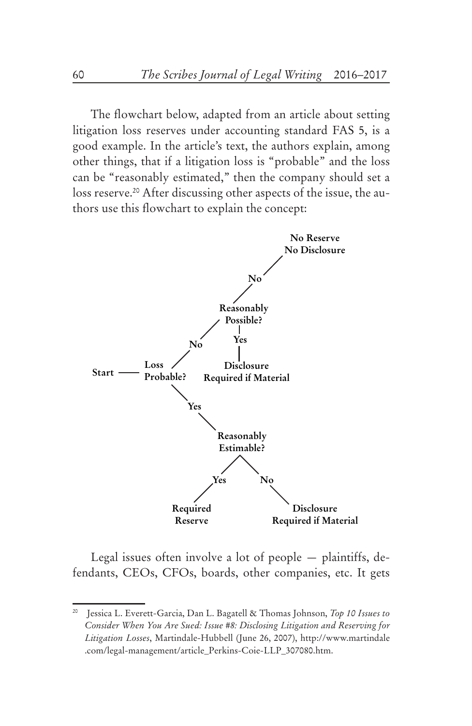The flowchart below, adapted from an article about setting litigation loss reserves under accounting standard FAS 5, is a good example. In the article's text, the authors explain, among other things, that if a litigation loss is "probable" and the loss can be "reasonably estimated," then the company should set a loss reserve.<sup>20</sup> After discussing other aspects of the issue, the authors use this flowchart to explain the concept:



Legal issues often involve a lot of people — plaintiffs, defendants, CEOs, CFOs, boards, other companies, etc. It gets

<sup>20</sup> Jessica L. Everett-Garcia, Dan L. Bagatell & Thomas Johnson, *Top 10 Issues to Consider When You Are Sued: Issue #8: Disclosing Litigation and Reserving for Litigation Losses*, Martindale-Hubbell (June 26, 2007), http://www.martindale .com/legal-management/article\_Perkins-Coie-LLP\_307080.htm.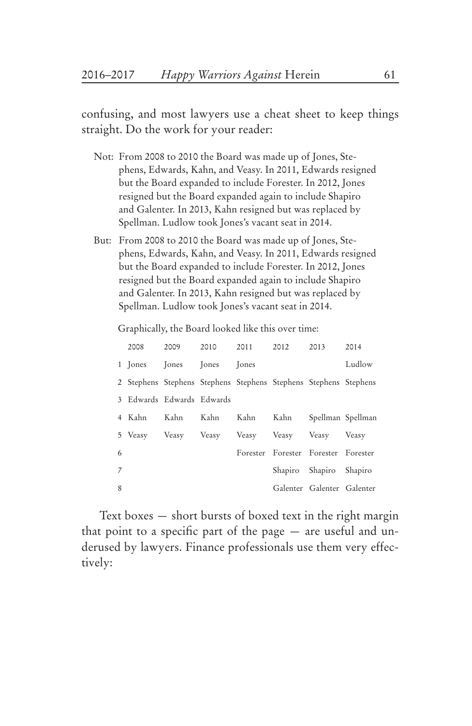confusing, and most lawyers use a cheat sheet to keep things straight. Do the work for your reader:

- Not: From 2008 to 2010 the Board was made up of Jones, Stephens, Edwards, Kahn, and Veasy. In 2011, Edwards resigned but the Board expanded to include Forester. In 2012, Jones resigned but the Board expanded again to include Shapiro and Galenter. In 2013, Kahn resigned but was replaced by Spellman. Ludlow took Jones's vacant seat in 2014.
- But: From 2008 to 2010 the Board was made up of Jones, Stephens, Edwards, Kahn, and Veasy. In 2011, Edwards resigned but the Board expanded to include Forester. In 2012, Jones resigned but the Board expanded again to include Shapiro and Galenter. In 2013, Kahn resigned but was replaced by Spellman. Ludlow took Jones's vacant seat in 2014.

Graphically, the Board looked like this over time:

|   | 2008    | 2009                      | 2010 2011 |              | 2012 | 2013                                                             | 2014   |
|---|---------|---------------------------|-----------|--------------|------|------------------------------------------------------------------|--------|
|   | 1 Jones | Jones Jones               |           | <b>Tones</b> |      |                                                                  | Ludlow |
|   |         |                           |           |              |      | 2 Stephens Stephens Stephens Stephens Stephens Stephens Stephens |        |
|   |         | 3 Edwards Edwards Edwards |           |              |      |                                                                  |        |
|   | 4 Kahn  | Kahn                      | Kahn      | Kahn         |      | Kahn Spellman Spellman                                           |        |
|   |         |                           |           |              |      | 5 Veasy Veasy Veasy Veasy Veasy Veasy Veasy Veasy                |        |
| 6 |         |                           |           |              |      | Forester Forester Forester Forester                              |        |
| 7 |         |                           |           |              |      | Shapiro Shapiro Shapiro                                          |        |
| 8 |         |                           |           |              |      | Galenter Galenter Galenter                                       |        |

Text boxes — short bursts of boxed text in the right margin that point to a specific part of the page — are useful and underused by lawyers. Finance professionals use them very effectively: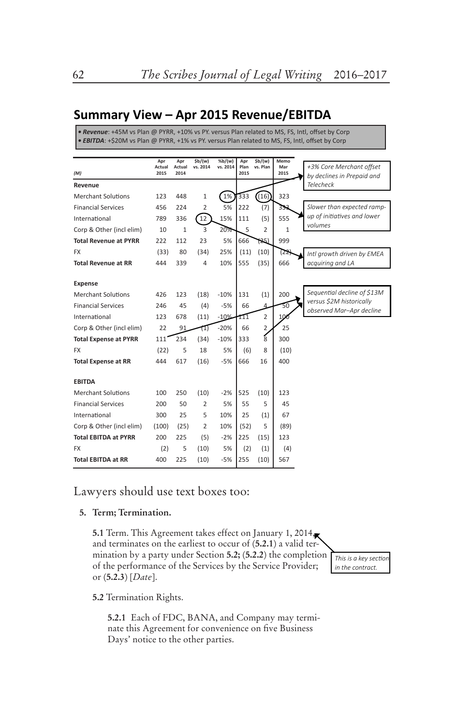# **Summary View – Apr 2015 Revenue/EBITDA**

*• Revenue*: +45M vs Plan @ PYRR, +10% vs PY. versus Plan related to MS, FS, Intl, offset by Corp *• EBITDA*: +\$20M vs Plan @ PYRR, +1% vs PY. versus Plan related to MS, FS, Intl, offset by Corp

|                              | Apr            | Apr            | \$b/(w)        | %b/(w)   | Apr          | \$b/(w)        | Memo            |                                                        |
|------------------------------|----------------|----------------|----------------|----------|--------------|----------------|-----------------|--------------------------------------------------------|
| (M)                          | Actual<br>2015 | Actual<br>2014 | vs. 2014       | vs. 2014 | Plan<br>2015 | vs. Plan       | Mar<br>2015     | +3% Core Merchant offset<br>by declines in Prepaid and |
| Revenue                      |                |                |                |          |              |                |                 | <b>Telecheck</b>                                       |
| <b>Merchant Solutions</b>    | 123            | 448            | 1              | 1%       | 333          | (16)           | 323             |                                                        |
| <b>Financial Services</b>    | 456            | 224            | 2              | 5%       | 222          | (7)            | 333             | Slower than expected ramp-                             |
| International                | 789            | 336            | 12             | 15%      | 111          | (5)            | 555             | up of initiatives and lower                            |
| Corp & Other (incl elim)     | 10             | $\mathbf{1}$   | 3              | 20%      | 5            | $\overline{2}$ | $\mathbf{1}$    | volumes                                                |
| <b>Total Revenue at PYRR</b> | 222            | 112            | 23             | 5%       | 666          | (25)           | 999             |                                                        |
| <b>FX</b>                    | (33)           | 80             | (34)           | 25%      | (11)         | (10)           | (22             | Intl growth driven by EMEA                             |
| <b>Total Revenue at RR</b>   | 444            | 339            | 4              | 10%      | 555          | (35)           | 666             | acquiring and LA                                       |
|                              |                |                |                |          |              |                |                 |                                                        |
| Expense                      |                |                |                |          |              |                |                 |                                                        |
| <b>Merchant Solutions</b>    | 426            | 123            | (18)           | $-10%$   | 131          | (1)            | 200             | Sequential decline of \$13M                            |
| <b>Financial Services</b>    | 246            | 45             | (4)            | $-5%$    | 66           |                | 50              | versus \$2M historically<br>observed Mar-Apr decline   |
| International                | 123            | 678            | (11)           | $-10%$   | 111          | $\overline{2}$ | 10 <sub>c</sub> |                                                        |
| Corp & Other (incl elim)     | 22             | 91             | 11)            | $-20%$   | 66           | $\overline{2}$ | 25              |                                                        |
| <b>Total Expense at PYRR</b> | 111            | 234            | (34)           | $-10%$   | 333          | $\frac{1}{8}$  | 300             |                                                        |
| <b>FX</b>                    | (22)           | 5              | 18             | 5%       | (6)          | 8              | (10)            |                                                        |
| <b>Total Expense at RR</b>   | 444            | 617            | (16)           | $-5%$    | 666          | 16             | 400             |                                                        |
|                              |                |                |                |          |              |                |                 |                                                        |
| <b>EBITDA</b>                |                |                |                |          |              |                |                 |                                                        |
| <b>Merchant Solutions</b>    | 100            | 250            | (10)           | $-2%$    | 525          | (10)           | 123             |                                                        |
| <b>Financial Services</b>    | 200            | 50             | $\overline{2}$ | 5%       | 55           | 5              | 45              |                                                        |
| International                | 300            | 25             | 5              | 10%      | 25           | (1)            | 67              |                                                        |
| Corp & Other (incl elim)     | (100)          | (25)           | 2              | 10%      | (52)         | 5              | (89)            |                                                        |
| <b>Total EBITDA at PYRR</b>  | 200            | 225            | (5)            | $-2%$    | 225          | (15)           | 123             |                                                        |
| <b>FX</b>                    | (2)            | 5              | (10)           | 5%       | (2)          | (1)            | (4)             |                                                        |
| <b>Total EBITDA at RR</b>    | 400            | 225            | (10)           | $-5%$    | 255          | (10)           | 567             |                                                        |

Lawyers should use text boxes too:

#### **5. Term; Termination.**

**5.1** Term. This Agreement takes effect on January 1, 2014, and terminates on the earliest to occur of (**5.2.1**) a valid termination by a party under Section **5.2;** (**5.2.2**) the completion of the performance of the Services by the Service Provider; or (**5.2.3**) [*Date*].

*This is a key section in the contract.*

**5.2** Termination Rights.

**5.2.1** Each of FDC, BANA, and Company may terminate this Agreement for convenience on five Business Days' notice to the other parties.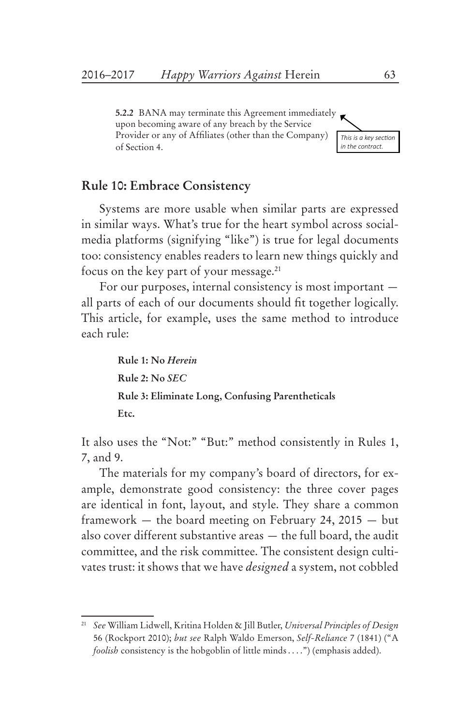**5.2.2** BANA may terminate this Agreement immediately upon becoming aware of any breach by the Service Provider or any of Affiliates (other than the Company) of Section 4.



## **Rule 10: Embrace Consistency**

Systems are more usable when similar parts are expressed in similar ways. What's true for the heart symbol across socialmedia platforms (signifying "like") is true for legal documents too: consistency enables readers to learn new things quickly and focus on the key part of your message.21

For our purposes, internal consistency is most important all parts of each of our documents should fit together logically. This article, for example, uses the same method to introduce each rule:

> **Rule 1: No** *Herein* **Rule 2: No** *SEC* **Rule 3: Eliminate Long, Confusing Parentheticals Etc.**

It also uses the "Not:" "But:" method consistently in Rules 1, 7, and 9.

The materials for my company's board of directors, for example, demonstrate good consistency: the three cover pages are identical in font, layout, and style. They share a common framework — the board meeting on February 24, 2015 — but also cover different substantive areas — the full board, the audit committee, and the risk committee. The consistent design cultivates trust: it shows that we have *designed* a system, not cobbled

<sup>21</sup> *See* William Lidwell, Kritina Holden & Jill Butler, *Universal Principles of Design* 56 (Rockport 2010); *but see* Ralph Waldo Emerson, *Self-Reliance* 7 (1841) ("A *foolish* consistency is the hobgoblin of little minds . . . .") (emphasis added).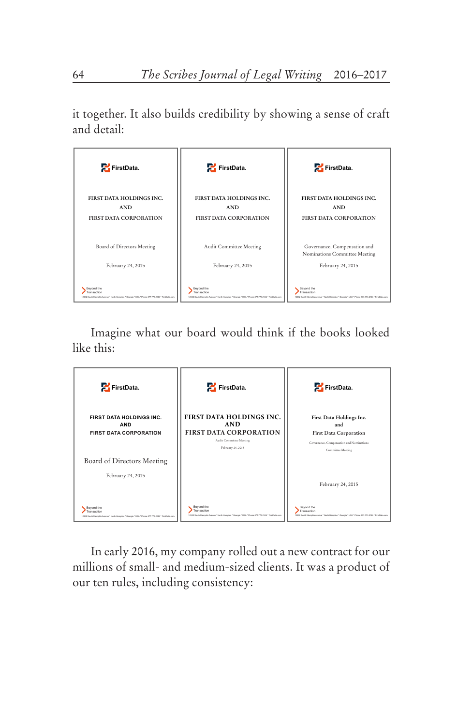it together. It also builds credibility by showing a sense of craft and detail:



Imagine what our board would think if the books looked like this:

| FirstData.                                                                                                                   | FirstData.                                                                                                                     | FirstData.                                                                                                                   |
|------------------------------------------------------------------------------------------------------------------------------|--------------------------------------------------------------------------------------------------------------------------------|------------------------------------------------------------------------------------------------------------------------------|
| FIRST DATA HOLDINGS INC.<br><b>AND</b><br><b>FIRST DATA CORPORATION</b>                                                      | <b>FIRST DATA HOLDINGS INC.</b><br><b>AND</b><br><b>FIRST DATA CORPORATION</b><br>Audit Committee Meeting<br>February 24, 2015 | First Data Holdings Inc.<br>and<br>First Data Corporation<br>Governance, Compensation and Nominations<br>Committee Meeting   |
| Board of Directors Meeting<br>February 24, 2015                                                                              |                                                                                                                                | February 24, 2015                                                                                                            |
| Beyond the<br>Transaction<br>12332 South Memohis Avenue " North Hampton " Georgia " USA " Phone 877, 773.2144 " FinsData.com | Beyond the<br>Transaction<br>12332 South Memohis Avenue " North Hampton " Georgia " USA " Phone 877,773.2144 " FinsData.com    | Beyond the<br>Transaction<br>12332 South Memphis Avenue " North Hampton " Georgia " USA " Phone 877.773.2144 " FirstData.com |

In early 2016, my company rolled out a new contract for our millions of small- and medium-sized clients. It was a product of our ten rules, including consistency: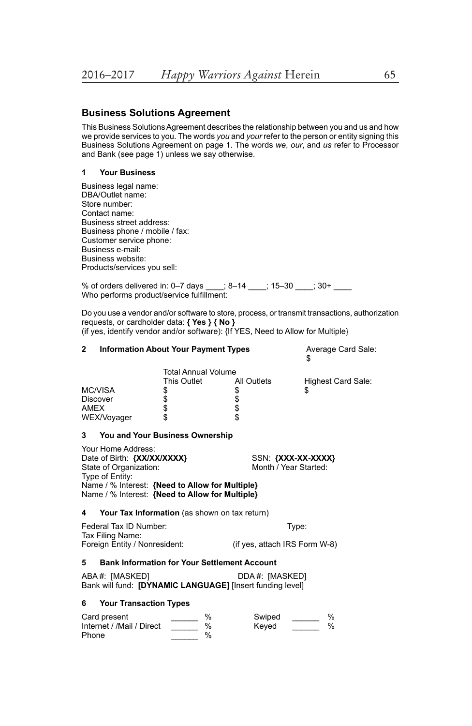#### **Business Solutions Agreement**

This Business Solutions Agreement describes the relationship between you and us and how we provide services to you. The words *you* and *your* refer to the person or entity signing this Business Solutions Agreement on page 1. The words *we*, *our*, and *us* refer to Processor and Bank (see page 1) unless we say otherwise.

#### **1 Your Business**

| Business legal name:           |
|--------------------------------|
| DBA/Outlet name:               |
| Store number:                  |
| Contact name:                  |
| Business street address:       |
| Business phone / mobile / fax: |
| Customer service phone:        |
| Business e-mail:               |
| Business website:              |
| Products/services you sell:    |
|                                |

% of orders delivered in: 0–7 days \_\_\_\_; 8–14 \_\_\_\_; 15–30 \_\_\_\_; 30+ \_\_\_\_ Who performs product/service fulfillment:

Do you use a vendor and/or software to store, process, or transmit transactions, authorization requests, or cardholder data: **{ Yes } { No }** (if yes, identify vendor and/or software): {If YES, Need to Allow for Multiple}

| 2                                                                                                                                                                                                                                                   | <b>Information About Your Payment Types</b>         | Average Card Sale:<br>\$                                  |                                                                             |                          |  |  |
|-----------------------------------------------------------------------------------------------------------------------------------------------------------------------------------------------------------------------------------------------------|-----------------------------------------------------|-----------------------------------------------------------|-----------------------------------------------------------------------------|--------------------------|--|--|
| Discover<br><b>AMEX</b>                                                                                                                                                                                                                             | <b>MC/VISA</b><br>WEX/Voyager                       | <b>Total Annual Volume</b><br>This Outlet<br>\$<br>99 \$9 | All Outlets<br>\$\$\$\$                                                     | Highest Card Sale:<br>\$ |  |  |
| 3                                                                                                                                                                                                                                                   | You and Your Business Ownership                     |                                                           |                                                                             |                          |  |  |
| Your Home Address:<br>Date of Birth: {XX/XX/XXXX}<br>SSN: {XXX-XX-XXXX}<br>Month / Year Started:<br>State of Organization:<br>Type of Entity:<br>Name / % Interest: {Need to Allow for Multiple}<br>Name / % Interest: {Need to Allow for Multiple} |                                                     |                                                           |                                                                             |                          |  |  |
| 4                                                                                                                                                                                                                                                   | Your Tax Information (as shown on tax return)       |                                                           |                                                                             |                          |  |  |
| Federal Tax ID Number:<br>Tax Filing Name:<br>Foreign Entity / Nonresident:                                                                                                                                                                         |                                                     |                                                           | Type:<br>(if yes, attach IRS Form W-8)                                      |                          |  |  |
| 5                                                                                                                                                                                                                                                   | <b>Bank Information for Your Settlement Account</b> |                                                           |                                                                             |                          |  |  |
|                                                                                                                                                                                                                                                     | ABA#: [MASKED]                                      |                                                           | DDA#: [MASKED]<br>Bank will fund: [DYNAMIC LANGUAGE] [Insert funding level] |                          |  |  |
| 6                                                                                                                                                                                                                                                   | <b>Your Transaction Types</b>                       |                                                           |                                                                             |                          |  |  |
| %<br>Card present<br>Internet / /Mail / Direct<br>%<br>%<br>Phone                                                                                                                                                                                   |                                                     |                                                           | Swiped<br>Keved                                                             | %<br>%                   |  |  |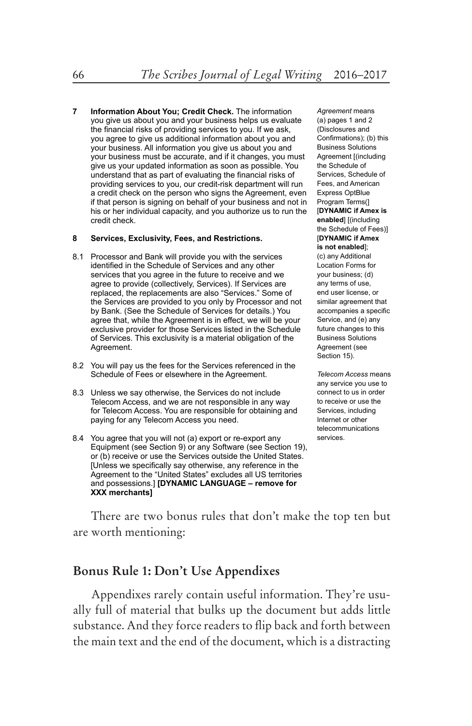**7 Information About You; Credit Check.** The information you give us about you and your business helps us evaluate the financial risks of providing services to you. If we ask, you agree to give us additional information about you and your business. All information you give us about you and your business must be accurate, and if it changes, you must give us your updated information as soon as possible. You understand that as part of evaluating the financial risks of providing services to you, our credit-risk department will run a credit check on the person who signs the Agreement, even if that person is signing on behalf of your business and not in his or her individual capacity, and you authorize us to run the credit check.

#### **8 Services, Exclusivity, Fees, and Restrictions.**

- 8.1 Processor and Bank will provide you with the services identified in the Schedule of Services and any other services that you agree in the future to receive and we agree to provide (collectively, Services). If Services are replaced, the replacements are also "Services." Some of the Services are provided to you only by Processor and not by Bank. (See the Schedule of Services for details.) You agree that, while the Agreement is in effect, we will be your exclusive provider for those Services listed in the Schedule of Services. This exclusivity is a material obligation of the Agreement.
- 8.2 You will pay us the fees for the Services referenced in the Schedule of Fees or elsewhere in the Agreement.
- 8.3 Unless we say otherwise, the Services do not include Telecom Access, and we are not responsible in any way for Telecom Access. You are responsible for obtaining and paying for any Telecom Access you need.
- 8.4 You agree that you will not (a) export or re-export any Equipment (see Section 9) or any Software (see Section 19), or (b) receive or use the Services outside the United States. [Unless we specifically say otherwise, any reference in the Agreement to the "United States" excludes all US territories and possessions.] **[DYNAMIC LANGUAGE – remove for XXX merchants]**

*Agreement* means (a) pages 1 and 2 (Disclosures and Confirmations); (b) this Business Solutions Agreement [(including the Schedule of Services, Schedule of Fees, and American Express OptBlue Program Terms(] [**DYNAMIC if Amex is enabled**] [(including the Schedule of Fees)] [**DYNAMIC if Amex is not enabled**]; (c) any Additional Location Forms for your business; (d) any terms of use, end user license, or similar agreement that accompanies a specific Service, and (e) any future changes to this Business Solutions Agreement (see Section 15).

*Telecom Access* means any service you use to connect to us in order to receive or use the Services, including Internet or other telecommunications services.

There are two bonus rules that don't make the top ten but are worth mentioning:

#### **Bonus Rule 1: Don't Use Appendixes**

Appendixes rarely contain useful information. They're usually full of material that bulks up the document but adds little substance. And they force readers to flip back and forth between the main text and the end of the document, which is a distracting